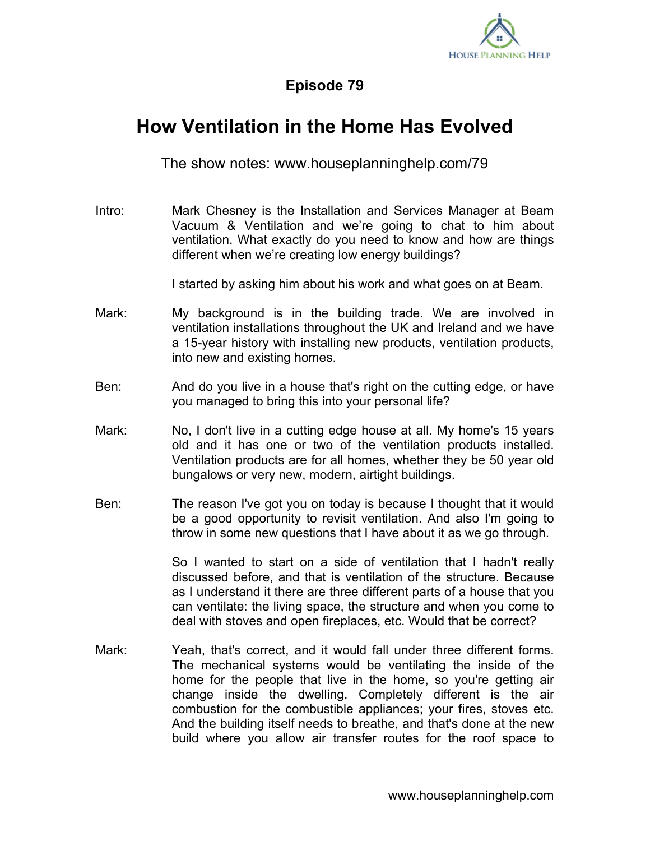

## **Episode 79**

## **How Ventilation in the Home Has Evolved**

The show notes: www.houseplanninghelp.com/79

Intro: Mark Chesney is the Installation and Services Manager at Beam Vacuum & Ventilation and we're going to chat to him about ventilation. What exactly do you need to know and how are things different when we're creating low energy buildings?

I started by asking him about his work and what goes on at Beam.

- Mark: My background is in the building trade. We are involved in ventilation installations throughout the UK and Ireland and we have a 15-year history with installing new products, ventilation products, into new and existing homes.
- Ben: And do you live in a house that's right on the cutting edge, or have you managed to bring this into your personal life?
- Mark: No, I don't live in a cutting edge house at all. My home's 15 years old and it has one or two of the ventilation products installed. Ventilation products are for all homes, whether they be 50 year old bungalows or very new, modern, airtight buildings.
- Ben: The reason I've got you on today is because I thought that it would be a good opportunity to revisit ventilation. And also I'm going to throw in some new questions that I have about it as we go through.

So I wanted to start on a side of ventilation that I hadn't really discussed before, and that is ventilation of the structure. Because as I understand it there are three different parts of a house that you can ventilate: the living space, the structure and when you come to deal with stoves and open fireplaces, etc. Would that be correct?

Mark: Yeah, that's correct, and it would fall under three different forms. The mechanical systems would be ventilating the inside of the home for the people that live in the home, so you're getting air change inside the dwelling. Completely different is the air combustion for the combustible appliances; your fires, stoves etc. And the building itself needs to breathe, and that's done at the new build where you allow air transfer routes for the roof space to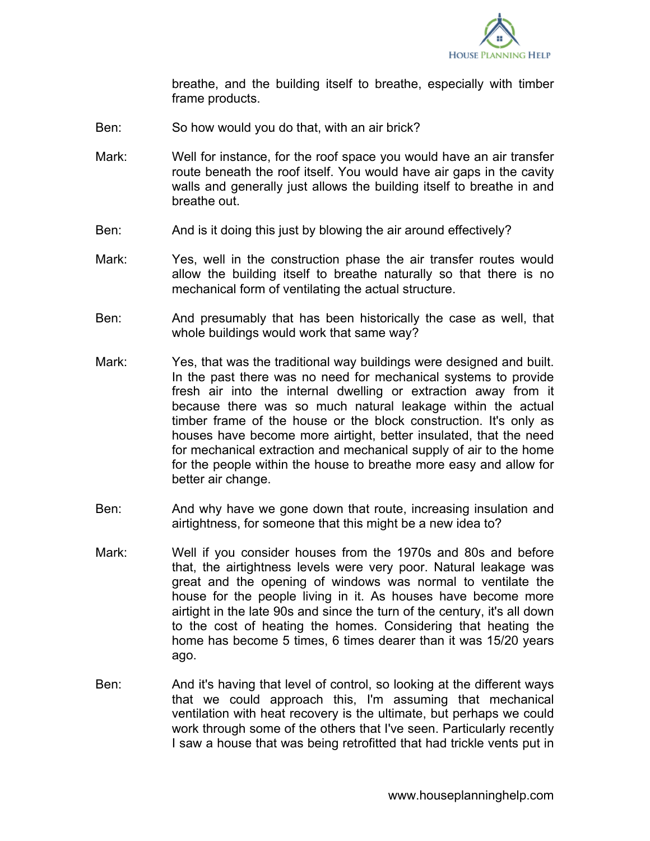

breathe, and the building itself to breathe, especially with timber frame products.

- Ben: So how would you do that, with an air brick?
- Mark: Well for instance, for the roof space you would have an air transfer route beneath the roof itself. You would have air gaps in the cavity walls and generally just allows the building itself to breathe in and breathe out.
- Ben: And is it doing this just by blowing the air around effectively?
- Mark: Yes, well in the construction phase the air transfer routes would allow the building itself to breathe naturally so that there is no mechanical form of ventilating the actual structure.
- Ben: And presumably that has been historically the case as well, that whole buildings would work that same way?
- Mark: Yes, that was the traditional way buildings were designed and built. In the past there was no need for mechanical systems to provide fresh air into the internal dwelling or extraction away from it because there was so much natural leakage within the actual timber frame of the house or the block construction. It's only as houses have become more airtight, better insulated, that the need for mechanical extraction and mechanical supply of air to the home for the people within the house to breathe more easy and allow for better air change.
- Ben: And why have we gone down that route, increasing insulation and airtightness, for someone that this might be a new idea to?
- Mark: Well if you consider houses from the 1970s and 80s and before that, the airtightness levels were very poor. Natural leakage was great and the opening of windows was normal to ventilate the house for the people living in it. As houses have become more airtight in the late 90s and since the turn of the century, it's all down to the cost of heating the homes. Considering that heating the home has become 5 times, 6 times dearer than it was 15/20 years ago.
- Ben: And it's having that level of control, so looking at the different ways that we could approach this, I'm assuming that mechanical ventilation with heat recovery is the ultimate, but perhaps we could work through some of the others that I've seen. Particularly recently I saw a house that was being retrofitted that had trickle vents put in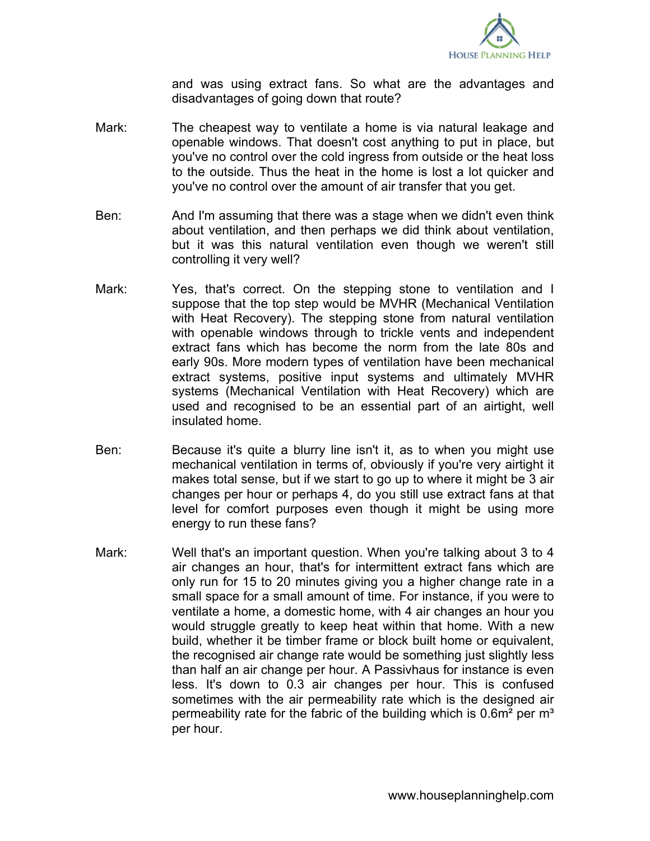

and was using extract fans. So what are the advantages and disadvantages of going down that route?

- Mark: The cheapest way to ventilate a home is via natural leakage and openable windows. That doesn't cost anything to put in place, but you've no control over the cold ingress from outside or the heat loss to the outside. Thus the heat in the home is lost a lot quicker and you've no control over the amount of air transfer that you get.
- Ben: And I'm assuming that there was a stage when we didn't even think about ventilation, and then perhaps we did think about ventilation, but it was this natural ventilation even though we weren't still controlling it very well?
- Mark: Yes, that's correct. On the stepping stone to ventilation and I suppose that the top step would be MVHR (Mechanical Ventilation with Heat Recovery). The stepping stone from natural ventilation with openable windows through to trickle vents and independent extract fans which has become the norm from the late 80s and early 90s. More modern types of ventilation have been mechanical extract systems, positive input systems and ultimately MVHR systems (Mechanical Ventilation with Heat Recovery) which are used and recognised to be an essential part of an airtight, well insulated home.
- Ben: Because it's quite a blurry line isn't it, as to when you might use mechanical ventilation in terms of, obviously if you're very airtight it makes total sense, but if we start to go up to where it might be 3 air changes per hour or perhaps 4, do you still use extract fans at that level for comfort purposes even though it might be using more energy to run these fans?
- Mark: Well that's an important question. When you're talking about 3 to 4 air changes an hour, that's for intermittent extract fans which are only run for 15 to 20 minutes giving you a higher change rate in a small space for a small amount of time. For instance, if you were to ventilate a home, a domestic home, with 4 air changes an hour you would struggle greatly to keep heat within that home. With a new build, whether it be timber frame or block built home or equivalent, the recognised air change rate would be something just slightly less than half an air change per hour. A Passivhaus for instance is even less. It's down to 0.3 air changes per hour. This is confused sometimes with the air permeability rate which is the designed air permeability rate for the fabric of the building which is  $0.6m<sup>2</sup>$  per  $m<sup>3</sup>$ per hour.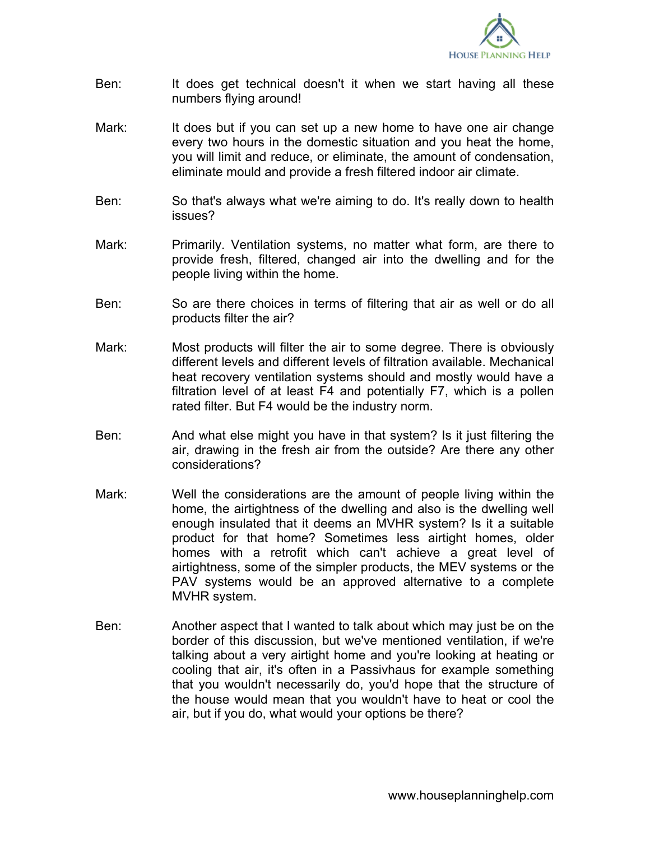

- Ben: It does get technical doesn't it when we start having all these numbers flying around!
- Mark: It does but if you can set up a new home to have one air change every two hours in the domestic situation and you heat the home, you will limit and reduce, or eliminate, the amount of condensation, eliminate mould and provide a fresh filtered indoor air climate.
- Ben: So that's always what we're aiming to do. It's really down to health issues?
- Mark: Primarily. Ventilation systems, no matter what form, are there to provide fresh, filtered, changed air into the dwelling and for the people living within the home.
- Ben: So are there choices in terms of filtering that air as well or do all products filter the air?
- Mark: Most products will filter the air to some degree. There is obviously different levels and different levels of filtration available. Mechanical heat recovery ventilation systems should and mostly would have a filtration level of at least F4 and potentially F7, which is a pollen rated filter. But F4 would be the industry norm.
- Ben: And what else might you have in that system? Is it just filtering the air, drawing in the fresh air from the outside? Are there any other considerations?
- Mark: Well the considerations are the amount of people living within the home, the airtightness of the dwelling and also is the dwelling well enough insulated that it deems an MVHR system? Is it a suitable product for that home? Sometimes less airtight homes, older homes with a retrofit which can't achieve a great level of airtightness, some of the simpler products, the MEV systems or the PAV systems would be an approved alternative to a complete MVHR system.
- Ben: Another aspect that I wanted to talk about which may just be on the border of this discussion, but we've mentioned ventilation, if we're talking about a very airtight home and you're looking at heating or cooling that air, it's often in a Passivhaus for example something that you wouldn't necessarily do, you'd hope that the structure of the house would mean that you wouldn't have to heat or cool the air, but if you do, what would your options be there?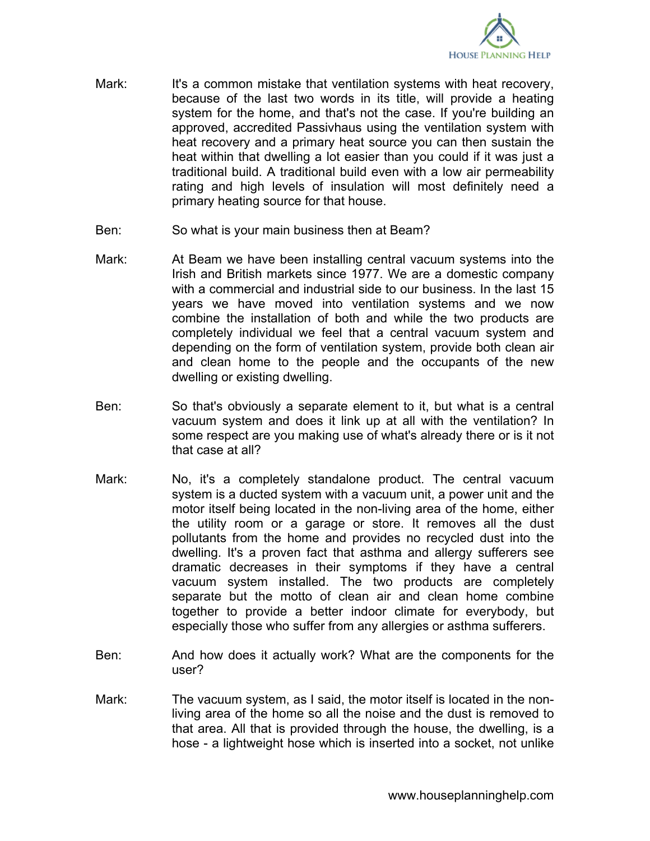

- Mark: It's a common mistake that ventilation systems with heat recovery, because of the last two words in its title, will provide a heating system for the home, and that's not the case. If you're building an approved, accredited Passivhaus using the ventilation system with heat recovery and a primary heat source you can then sustain the heat within that dwelling a lot easier than you could if it was just a traditional build. A traditional build even with a low air permeability rating and high levels of insulation will most definitely need a primary heating source for that house.
- Ben: So what is your main business then at Beam?
- Mark: At Beam we have been installing central vacuum systems into the Irish and British markets since 1977. We are a domestic company with a commercial and industrial side to our business. In the last 15 years we have moved into ventilation systems and we now combine the installation of both and while the two products are completely individual we feel that a central vacuum system and depending on the form of ventilation system, provide both clean air and clean home to the people and the occupants of the new dwelling or existing dwelling.
- Ben: So that's obviously a separate element to it, but what is a central vacuum system and does it link up at all with the ventilation? In some respect are you making use of what's already there or is it not that case at all?
- Mark: No, it's a completely standalone product. The central vacuum system is a ducted system with a vacuum unit, a power unit and the motor itself being located in the non-living area of the home, either the utility room or a garage or store. It removes all the dust pollutants from the home and provides no recycled dust into the dwelling. It's a proven fact that asthma and allergy sufferers see dramatic decreases in their symptoms if they have a central vacuum system installed. The two products are completely separate but the motto of clean air and clean home combine together to provide a better indoor climate for everybody, but especially those who suffer from any allergies or asthma sufferers.
- Ben: And how does it actually work? What are the components for the user?
- Mark: The vacuum system, as I said, the motor itself is located in the nonliving area of the home so all the noise and the dust is removed to that area. All that is provided through the house, the dwelling, is a hose - a lightweight hose which is inserted into a socket, not unlike